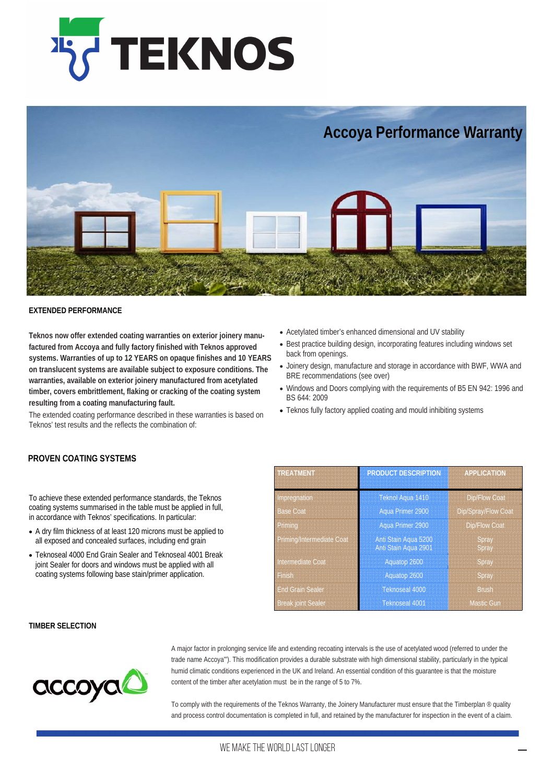



## **EXTENDED PERFORMANCE**

**Teknos now offer extended coating warranties on exterior joinery manufactured from Accoya and fully factory finished with Teknos approved systems. Warranties of up to 12 YEARS on opaque finishes and 10 YEARS on translucent systems are available subject to exposure conditions. The warranties, available on exterior joinery manufactured from acetylated timber, covers embrittlement, flaking or cracking of the coating system resulting from a coating manufacturing fault.**

The extended coating performance described in these warranties is based on Teknos' test results and the reflects the combination of:

- Acetylated timber's enhanced dimensional and UV stability
- Best practice building design, incorporating features including windows set back from openings.
- Joinery design, manufacture and storage in accordance with BWF, WWA and BRE recommendations (see over)
- Windows and Doors complying with the requirements of B5 EN 942: 1996 and BS 644: 2009
- Teknos fully factory applied coating and mould inhibiting systems2

# **PROVEN COATING SYSTEMS**

To achieve these extended performance standards, the Teknos coating systems summarised in the table must be applied in full, in accordance with Teknos' specifications. In particular:

- A dry film thickness of at least 120 microns must be applied to all exposed and concealed surfaces, including end grain
- Teknoseal 4000 End Grain Sealer and Teknoseal 4001 Break joint Sealer for doors and windows must be applied with all coating systems following base stain/primer application.

| <b>TREATMENT</b>          | <b>PRODUCT DESCRIPTION</b>                   | <b>APPLICATION</b>   |
|---------------------------|----------------------------------------------|----------------------|
| Impregnation              | Teknol Aqua 1410                             | <b>Dip/Flow Coat</b> |
| <b>Base Coat</b>          | Aqua Primer 2900                             | Dip/Spray/Flow Coat  |
| Priming                   | Aqua Primer 2900                             | <b>Dip/Flow Coat</b> |
| Priming/Intermediate Coat | Anti Stain Agua 5200<br>Anti Stain Aqua 2901 | Spray<br>Spray       |
| Intermediate Coat         | Aquatop 2600                                 | Spray                |
| Finish                    | Aquatop 2600                                 | <b>Spray</b>         |
| <b>End Grain Sealer</b>   | <b>Teknoseal 4000</b>                        | <b>Brush</b>         |
| <b>Break joint Sealer</b> | Teknoseal 4001                               | <b>Mastic Gun</b>    |

### **TIMBER SELECTION**



A major factor in prolonging service life and extending recoating intervals is the use of acetylated wood (referred to under the trade name Accoya"'). This modification provides a durable substrate with high dimensional stability, particularly in the typical humid climatic conditions experienced in the UK and Ireland. An essential condition of this guarantee is that the moisture content of the timber after acetylation must be in the range of 5 to 7%.

To comply with the requirements of the Teknos Warranty, the Joinery Manufacturer must ensure that the Timberplan ® quality and process control documentation is completed in full, and retained by the manufacturer for inspection in the event of a claim.